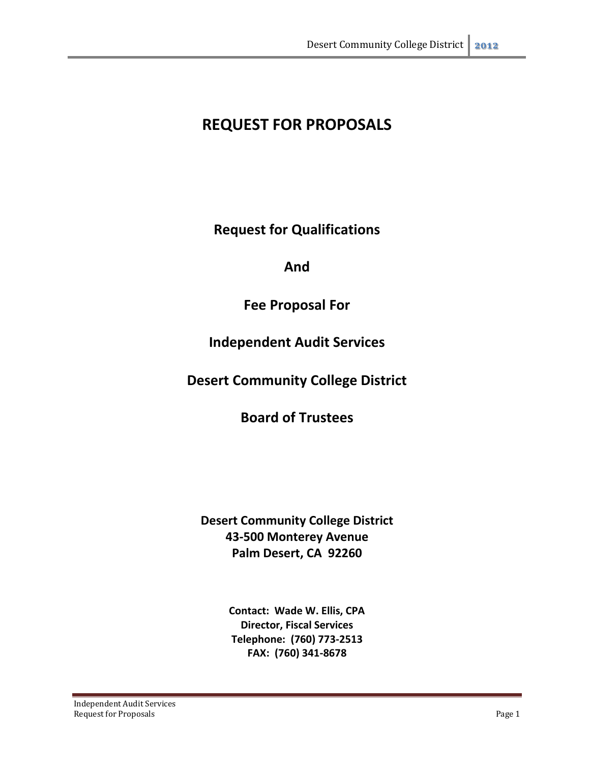# **REQUEST FOR PROPOSALS**

**Request for Qualifications**

## **And**

## **Fee Proposal For**

## **Independent Audit Services**

## **Desert Community College District**

## **Board of Trustees**

## **Desert Community College District 43-500 Monterey Avenue Palm Desert, CA 92260**

**Contact: Wade W. Ellis, CPA Director, Fiscal Services Telephone: (760) 773-2513 FAX: (760) 341-8678**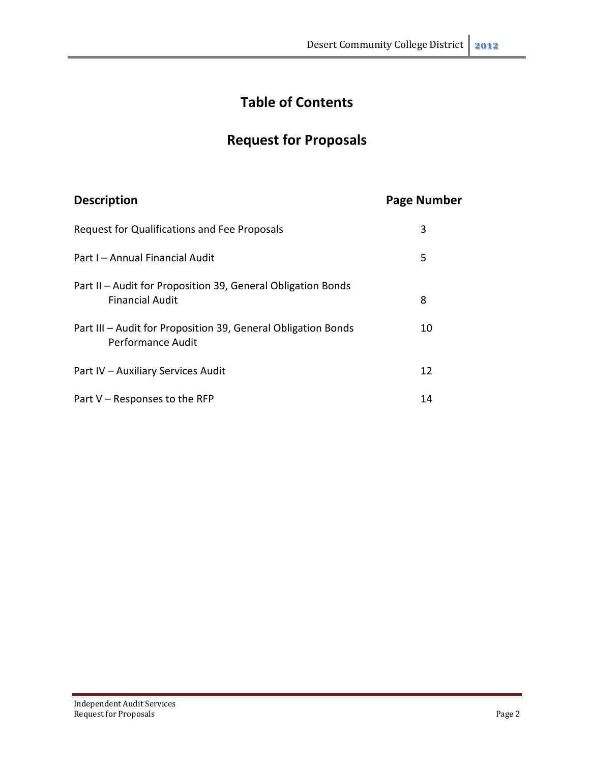# **Table of Contents**

# **Request for Proposals**

# **Description Page Number**

| Request for Qualifications and Fee Proposals                                           | 3  |
|----------------------------------------------------------------------------------------|----|
| Part I – Annual Financial Audit                                                        | 5  |
| Part II – Audit for Proposition 39, General Obligation Bonds<br><b>Financial Audit</b> | 8  |
| Part III - Audit for Proposition 39, General Obligation Bonds<br>Performance Audit     | 10 |
| Part IV - Auxiliary Services Audit                                                     | 12 |
| Part V - Responses to the RFP                                                          | 14 |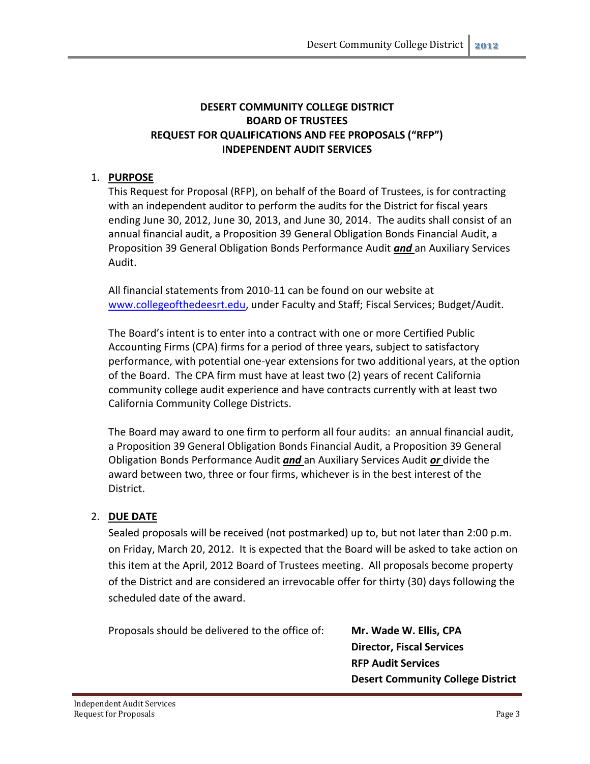#### **DESERT COMMUNITY COLLEGE DISTRICT BOARD OF TRUSTEES REQUEST FOR QUALIFICATIONS AND FEE PROPOSALS ("RFP") INDEPENDENT AUDIT SERVICES**

#### 1. **PURPOSE**

This Request for Proposal (RFP), on behalf of the Board of Trustees, is for contracting with an independent auditor to perform the audits for the District for fiscal years ending June 30, 2012, June 30, 2013, and June 30, 2014. The audits shall consist of an annual financial audit, a Proposition 39 General Obligation Bonds Financial Audit, a Proposition 39 General Obligation Bonds Performance Audit *and* an Auxiliary Services Audit.

All financial statements from 2010-11 can be found on our website at [www.collegeofthedeesrt.edu,](http://www.collegeofthedeesrt.edu/) under Faculty and Staff; Fiscal Services; Budget/Audit.

The Board's intent is to enter into a contract with one or more Certified Public Accounting Firms (CPA) firms for a period of three years, subject to satisfactory performance, with potential one-year extensions for two additional years, at the option of the Board. The CPA firm must have at least two (2) years of recent California community college audit experience and have contracts currently with at least two California Community College Districts.

The Board may award to one firm to perform all four audits: an annual financial audit, a Proposition 39 General Obligation Bonds Financial Audit, a Proposition 39 General Obligation Bonds Performance Audit *and* an Auxiliary Services Audit *or* divide the award between two, three or four firms, whichever is in the best interest of the District.

#### 2. **DUE DATE**

Sealed proposals will be received (not postmarked) up to, but not later than 2:00 p.m. on Friday, March 20, 2012. It is expected that the Board will be asked to take action on this item at the April, 2012 Board of Trustees meeting. All proposals become property of the District and are considered an irrevocable offer for thirty (30) days following the scheduled date of the award.

Proposals should be delivered to the office of: **Mr. Wade W. Ellis, CPA**

**Director, Fiscal Services RFP Audit Services Desert Community College District**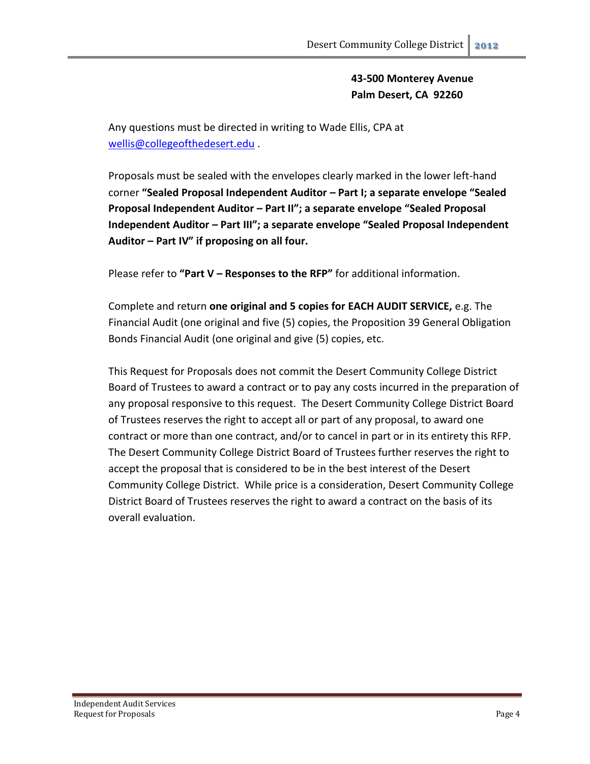**43-500 Monterey Avenue Palm Desert, CA 92260**

Any questions must be directed in writing to Wade Ellis, CPA at [wellis@collegeofthedesert.edu](mailto:wellis@collegeofthedesert.edu) .

Proposals must be sealed with the envelopes clearly marked in the lower left-hand corner **"Sealed Proposal Independent Auditor – Part I; a separate envelope "Sealed Proposal Independent Auditor – Part II"; a separate envelope "Sealed Proposal Independent Auditor – Part III"; a separate envelope "Sealed Proposal Independent Auditor – Part IV" if proposing on all four.**

Please refer to **"Part V – Responses to the RFP"** for additional information.

Complete and return **one original and 5 copies for EACH AUDIT SERVICE,** e.g. The Financial Audit (one original and five (5) copies, the Proposition 39 General Obligation Bonds Financial Audit (one original and give (5) copies, etc.

This Request for Proposals does not commit the Desert Community College District Board of Trustees to award a contract or to pay any costs incurred in the preparation of any proposal responsive to this request. The Desert Community College District Board of Trustees reserves the right to accept all or part of any proposal, to award one contract or more than one contract, and/or to cancel in part or in its entirety this RFP. The Desert Community College District Board of Trustees further reserves the right to accept the proposal that is considered to be in the best interest of the Desert Community College District. While price is a consideration, Desert Community College District Board of Trustees reserves the right to award a contract on the basis of its overall evaluation.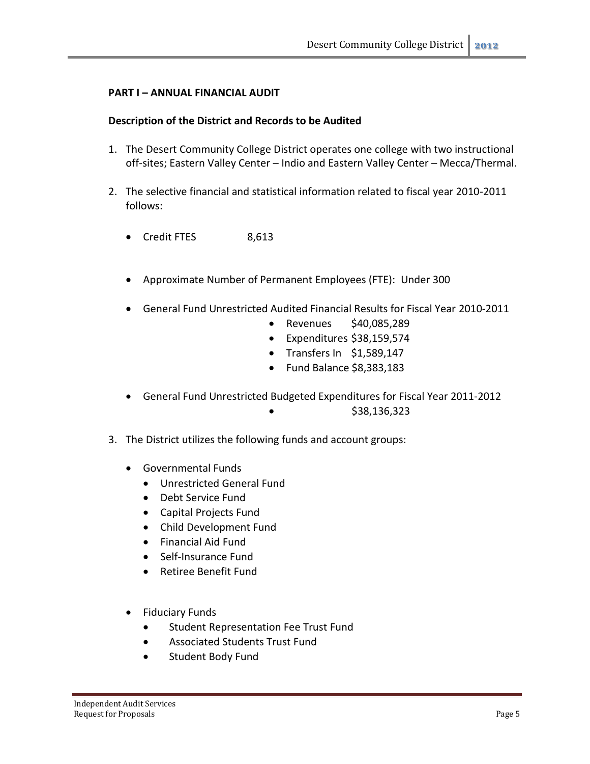#### **PART I – ANNUAL FINANCIAL AUDIT**

#### **Description of the District and Records to be Audited**

- 1. The Desert Community College District operates one college with two instructional off-sites; Eastern Valley Center – Indio and Eastern Valley Center – Mecca/Thermal.
- 2. The selective financial and statistical information related to fiscal year 2010-2011 follows:
	- Credit FTES 8,613
	- Approximate Number of Permanent Employees (FTE): Under 300
	- General Fund Unrestricted Audited Financial Results for Fiscal Year 2010-2011
		- Revenues \$40,085,289
		- Expenditures \$38,159,574
		- Transfers In \$1,589,147
		- Fund Balance \$8,383,183
	- General Fund Unrestricted Budgeted Expenditures for Fiscal Year 2011-2012  $\bullet$  \$38,136,323
- 3. The District utilizes the following funds and account groups:
	- Governmental Funds
		- Unrestricted General Fund
		- Debt Service Fund
		- Capital Projects Fund
		- Child Development Fund
		- Financial Aid Fund
		- Self-Insurance Fund
		- Retiree Benefit Fund
	- Fiduciary Funds
		- **•** Student Representation Fee Trust Fund
		- Associated Students Trust Fund
		- **•** Student Body Fund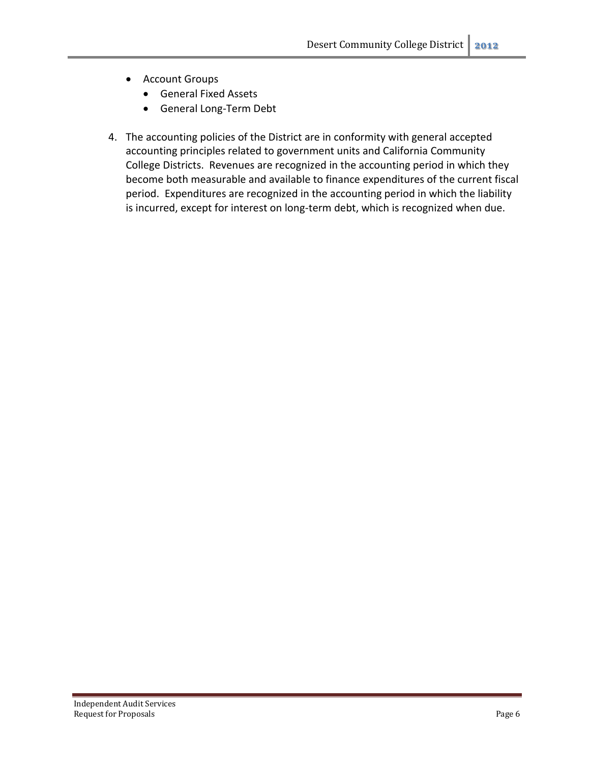- Account Groups
	- General Fixed Assets
	- General Long-Term Debt
- 4. The accounting policies of the District are in conformity with general accepted accounting principles related to government units and California Community College Districts. Revenues are recognized in the accounting period in which they become both measurable and available to finance expenditures of the current fiscal period. Expenditures are recognized in the accounting period in which the liability is incurred, except for interest on long-term debt, which is recognized when due.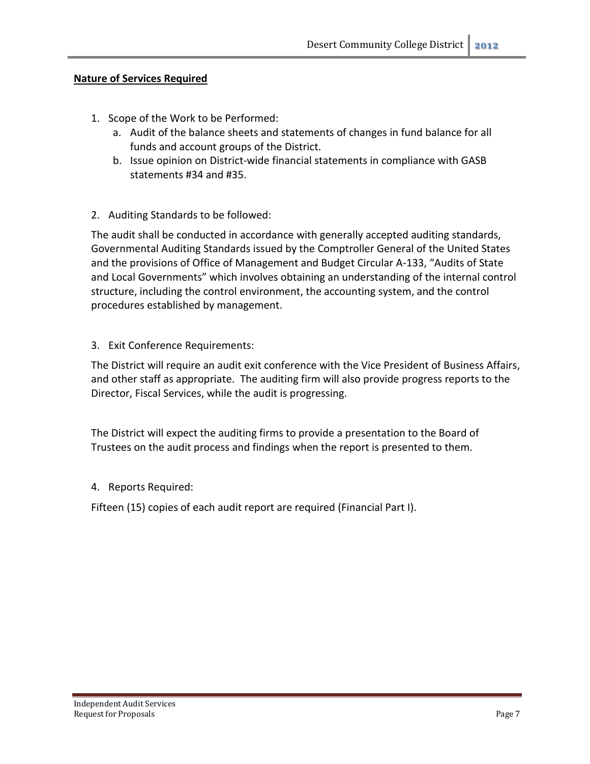#### **Nature of Services Required**

- 1. Scope of the Work to be Performed:
	- a. Audit of the balance sheets and statements of changes in fund balance for all funds and account groups of the District.
	- b. Issue opinion on District-wide financial statements in compliance with GASB statements #34 and #35.
- 2. Auditing Standards to be followed:

The audit shall be conducted in accordance with generally accepted auditing standards, Governmental Auditing Standards issued by the Comptroller General of the United States and the provisions of Office of Management and Budget Circular A-133, "Audits of State and Local Governments" which involves obtaining an understanding of the internal control structure, including the control environment, the accounting system, and the control procedures established by management.

3. Exit Conference Requirements:

The District will require an audit exit conference with the Vice President of Business Affairs, and other staff as appropriate. The auditing firm will also provide progress reports to the Director, Fiscal Services, while the audit is progressing.

The District will expect the auditing firms to provide a presentation to the Board of Trustees on the audit process and findings when the report is presented to them.

4. Reports Required:

Fifteen (15) copies of each audit report are required (Financial Part I).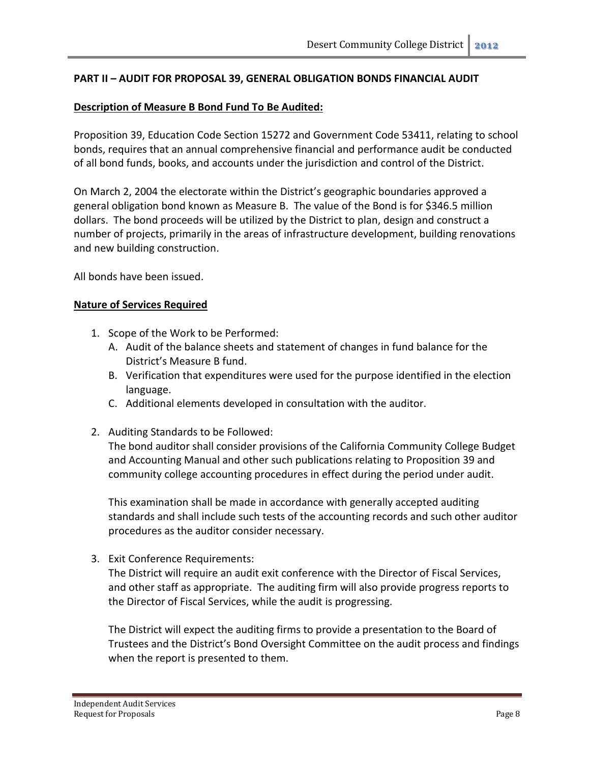#### **PART II – AUDIT FOR PROPOSAL 39, GENERAL OBLIGATION BONDS FINANCIAL AUDIT**

#### **Description of Measure B Bond Fund To Be Audited:**

Proposition 39, Education Code Section 15272 and Government Code 53411, relating to school bonds, requires that an annual comprehensive financial and performance audit be conducted of all bond funds, books, and accounts under the jurisdiction and control of the District.

On March 2, 2004 the electorate within the District's geographic boundaries approved a general obligation bond known as Measure B. The value of the Bond is for \$346.5 million dollars. The bond proceeds will be utilized by the District to plan, design and construct a number of projects, primarily in the areas of infrastructure development, building renovations and new building construction.

All bonds have been issued.

#### **Nature of Services Required**

- 1. Scope of the Work to be Performed:
	- A. Audit of the balance sheets and statement of changes in fund balance for the District's Measure B fund.
	- B. Verification that expenditures were used for the purpose identified in the election language.
	- C. Additional elements developed in consultation with the auditor.
- 2. Auditing Standards to be Followed:

The bond auditor shall consider provisions of the California Community College Budget and Accounting Manual and other such publications relating to Proposition 39 and community college accounting procedures in effect during the period under audit.

This examination shall be made in accordance with generally accepted auditing standards and shall include such tests of the accounting records and such other auditor procedures as the auditor consider necessary.

3. Exit Conference Requirements:

The District will require an audit exit conference with the Director of Fiscal Services, and other staff as appropriate. The auditing firm will also provide progress reports to the Director of Fiscal Services, while the audit is progressing.

The District will expect the auditing firms to provide a presentation to the Board of Trustees and the District's Bond Oversight Committee on the audit process and findings when the report is presented to them.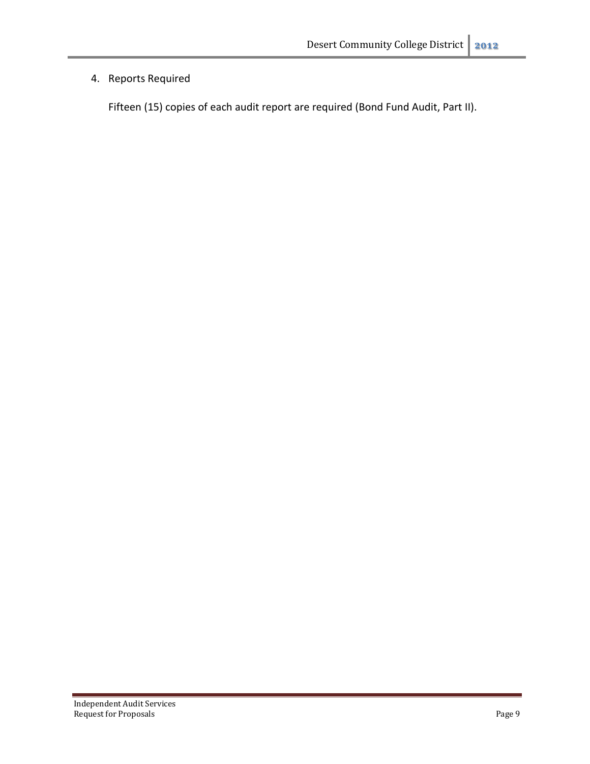### 4. Reports Required

Fifteen (15) copies of each audit report are required (Bond Fund Audit, Part II).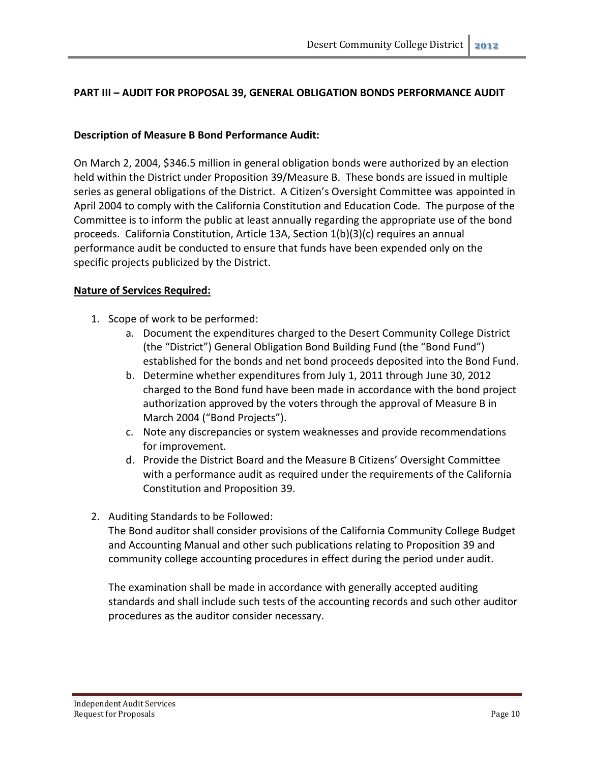#### **PART III – AUDIT FOR PROPOSAL 39, GENERAL OBLIGATION BONDS PERFORMANCE AUDIT**

#### **Description of Measure B Bond Performance Audit:**

On March 2, 2004, \$346.5 million in general obligation bonds were authorized by an election held within the District under Proposition 39/Measure B. These bonds are issued in multiple series as general obligations of the District. A Citizen's Oversight Committee was appointed in April 2004 to comply with the California Constitution and Education Code. The purpose of the Committee is to inform the public at least annually regarding the appropriate use of the bond proceeds. California Constitution, Article 13A, Section 1(b)(3)(c) requires an annual performance audit be conducted to ensure that funds have been expended only on the specific projects publicized by the District.

#### **Nature of Services Required:**

- 1. Scope of work to be performed:
	- a. Document the expenditures charged to the Desert Community College District (the "District") General Obligation Bond Building Fund (the "Bond Fund") established for the bonds and net bond proceeds deposited into the Bond Fund.
	- b. Determine whether expenditures from July 1, 2011 through June 30, 2012 charged to the Bond fund have been made in accordance with the bond project authorization approved by the voters through the approval of Measure B in March 2004 ("Bond Projects").
	- c. Note any discrepancies or system weaknesses and provide recommendations for improvement.
	- d. Provide the District Board and the Measure B Citizens' Oversight Committee with a performance audit as required under the requirements of the California Constitution and Proposition 39.
- 2. Auditing Standards to be Followed:

The Bond auditor shall consider provisions of the California Community College Budget and Accounting Manual and other such publications relating to Proposition 39 and community college accounting procedures in effect during the period under audit.

The examination shall be made in accordance with generally accepted auditing standards and shall include such tests of the accounting records and such other auditor procedures as the auditor consider necessary.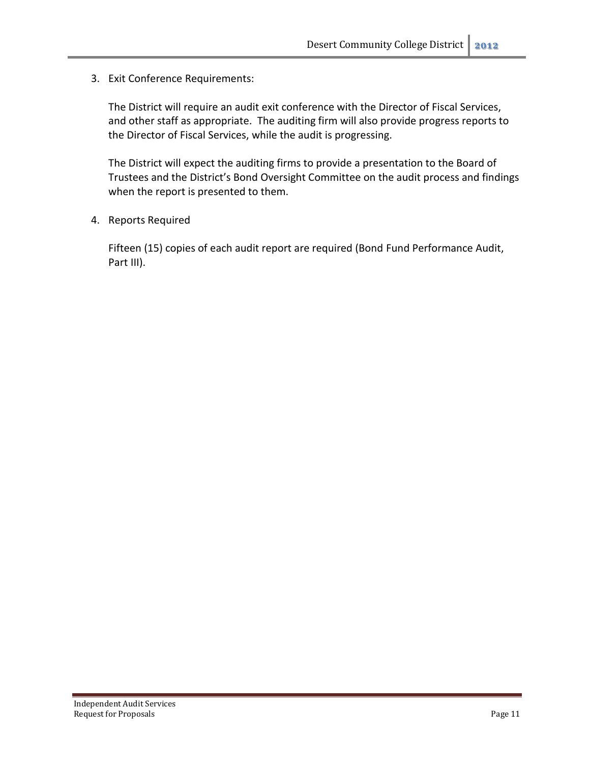3. Exit Conference Requirements:

The District will require an audit exit conference with the Director of Fiscal Services, and other staff as appropriate. The auditing firm will also provide progress reports to the Director of Fiscal Services, while the audit is progressing.

The District will expect the auditing firms to provide a presentation to the Board of Trustees and the District's Bond Oversight Committee on the audit process and findings when the report is presented to them.

4. Reports Required

Fifteen (15) copies of each audit report are required (Bond Fund Performance Audit, Part III).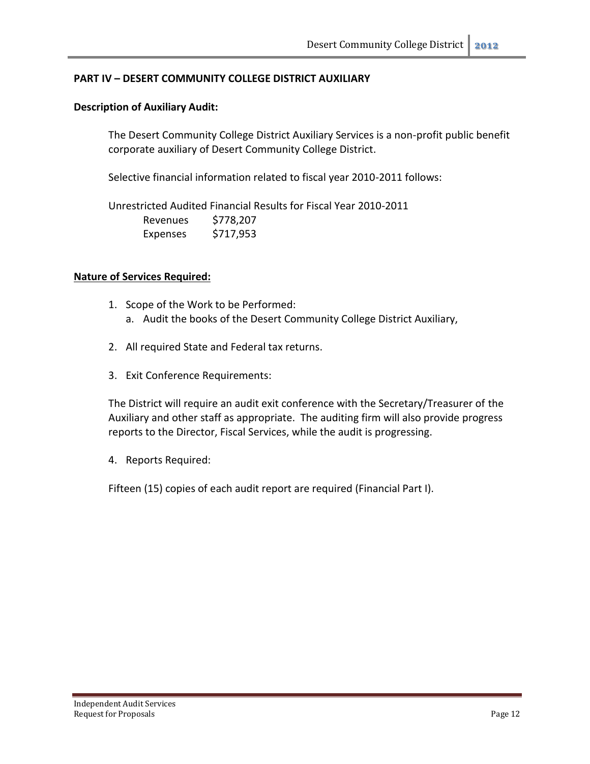#### **PART IV – DESERT COMMUNITY COLLEGE DISTRICT AUXILIARY**

#### **Description of Auxiliary Audit:**

The Desert Community College District Auxiliary Services is a non-profit public benefit corporate auxiliary of Desert Community College District.

Selective financial information related to fiscal year 2010-2011 follows:

Unrestricted Audited Financial Results for Fiscal Year 2010-2011 Revenues \$778,207 Expenses \$717,953

#### **Nature of Services Required:**

- 1. Scope of the Work to be Performed: a. Audit the books of the Desert Community College District Auxiliary,
- 2. All required State and Federal tax returns.
- 3. Exit Conference Requirements:

The District will require an audit exit conference with the Secretary/Treasurer of the Auxiliary and other staff as appropriate. The auditing firm will also provide progress reports to the Director, Fiscal Services, while the audit is progressing.

4. Reports Required:

Fifteen (15) copies of each audit report are required (Financial Part I).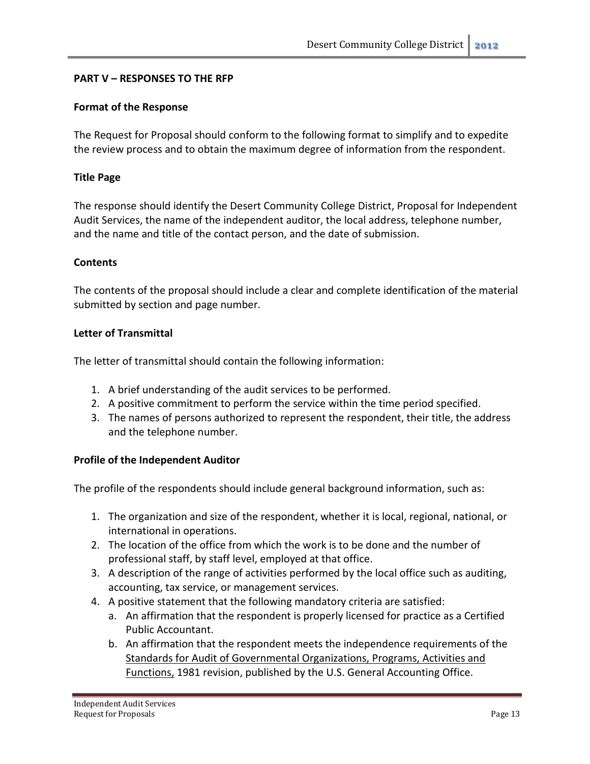#### **PART V – RESPONSES TO THE RFP**

#### **Format of the Response**

The Request for Proposal should conform to the following format to simplify and to expedite the review process and to obtain the maximum degree of information from the respondent.

#### **Title Page**

The response should identify the Desert Community College District, Proposal for Independent Audit Services, the name of the independent auditor, the local address, telephone number, and the name and title of the contact person, and the date of submission.

#### **Contents**

The contents of the proposal should include a clear and complete identification of the material submitted by section and page number.

#### **Letter of Transmittal**

The letter of transmittal should contain the following information:

- 1. A brief understanding of the audit services to be performed.
- 2. A positive commitment to perform the service within the time period specified.
- 3. The names of persons authorized to represent the respondent, their title, the address and the telephone number.

#### **Profile of the Independent Auditor**

The profile of the respondents should include general background information, such as:

- 1. The organization and size of the respondent, whether it is local, regional, national, or international in operations.
- 2. The location of the office from which the work is to be done and the number of professional staff, by staff level, employed at that office.
- 3. A description of the range of activities performed by the local office such as auditing, accounting, tax service, or management services.
- 4. A positive statement that the following mandatory criteria are satisfied:
	- a. An affirmation that the respondent is properly licensed for practice as a Certified Public Accountant.
	- b. An affirmation that the respondent meets the independence requirements of the Standards for Audit of Governmental Organizations, Programs, Activities and Functions, 1981 revision, published by the U.S. General Accounting Office.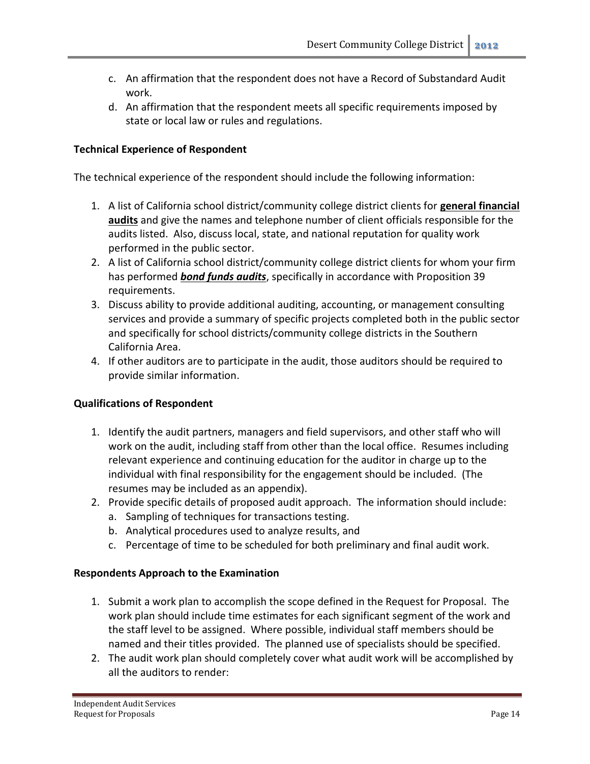- c. An affirmation that the respondent does not have a Record of Substandard Audit work.
- d. An affirmation that the respondent meets all specific requirements imposed by state or local law or rules and regulations.

#### **Technical Experience of Respondent**

The technical experience of the respondent should include the following information:

- 1. A list of California school district/community college district clients for **general financial audits** and give the names and telephone number of client officials responsible for the audits listed. Also, discuss local, state, and national reputation for quality work performed in the public sector.
- 2. A list of California school district/community college district clients for whom your firm has performed *bond funds audits*, specifically in accordance with Proposition 39 requirements.
- 3. Discuss ability to provide additional auditing, accounting, or management consulting services and provide a summary of specific projects completed both in the public sector and specifically for school districts/community college districts in the Southern California Area.
- 4. If other auditors are to participate in the audit, those auditors should be required to provide similar information.

#### **Qualifications of Respondent**

- 1. Identify the audit partners, managers and field supervisors, and other staff who will work on the audit, including staff from other than the local office. Resumes including relevant experience and continuing education for the auditor in charge up to the individual with final responsibility for the engagement should be included. (The resumes may be included as an appendix).
- 2. Provide specific details of proposed audit approach. The information should include:
	- a. Sampling of techniques for transactions testing.
	- b. Analytical procedures used to analyze results, and
	- c. Percentage of time to be scheduled for both preliminary and final audit work.

#### **Respondents Approach to the Examination**

- 1. Submit a work plan to accomplish the scope defined in the Request for Proposal. The work plan should include time estimates for each significant segment of the work and the staff level to be assigned. Where possible, individual staff members should be named and their titles provided. The planned use of specialists should be specified.
- 2. The audit work plan should completely cover what audit work will be accomplished by all the auditors to render: